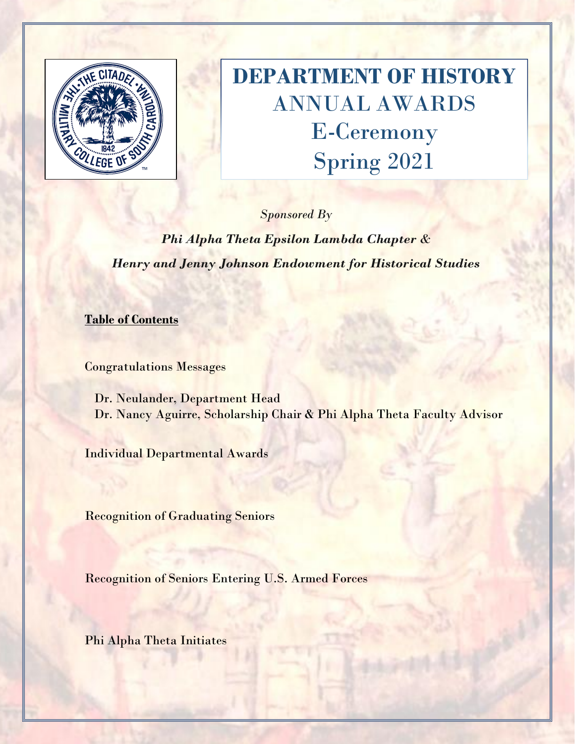

# **DEPARTMENT OF HISTORY** ANNUAL AWARDS E-Ceremony Spring 2021

*Sponsored By*

*Phi Alpha Theta Epsilon Lambda Chapter & Henry and Jenny Johnson Endowment for Historical Studies*

**Table of Contents**

Congratulations Messages

 Dr. Neulander, Department Head Dr. Nancy Aguirre, Scholarship Chair & Phi Alpha Theta Faculty Advisor

Individual Departmental Awards

Recognition of Graduating Seniors

Recognition of Seniors Entering U.S. Armed Forces

Phi Alpha Theta Initiates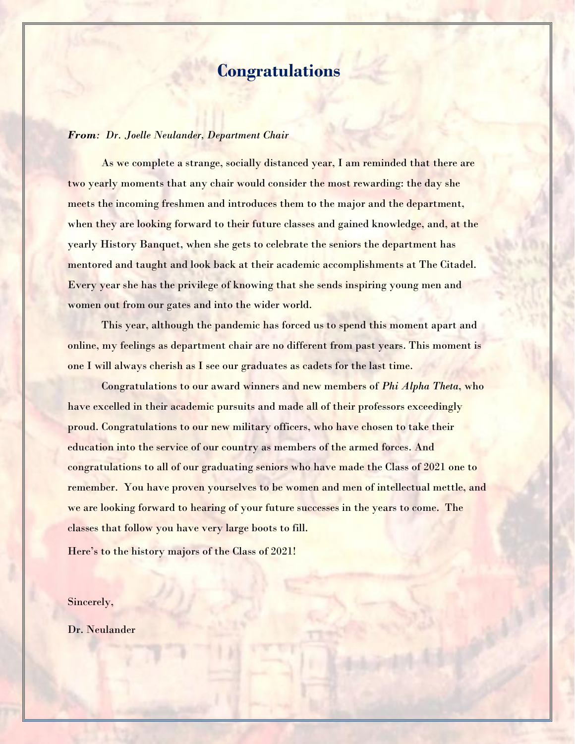### **Congratulations**

#### *From: Dr. Joelle Neulander, Department Chair*

As we complete a strange, socially distanced year, I am reminded that there are two yearly moments that any chair would consider the most rewarding: the day she meets the incoming freshmen and introduces them to the major and the department, when they are looking forward to their future classes and gained knowledge, and, at the yearly History Banquet, when she gets to celebrate the seniors the department has mentored and taught and look back at their academic accomplishments at The Citadel. Every year she has the privilege of knowing that she sends inspiring young men and women out from our gates and into the wider world.

This year, although the pandemic has forced us to spend this moment apart and online, my feelings as department chair are no different from past years. This moment is one I will always cherish as I see our graduates as cadets for the last time.

Congratulations to our award winners and new members of *Phi Alpha Theta*, who have excelled in their academic pursuits and made all of their professors exceedingly proud. Congratulations to our new military officers, who have chosen to take their education into the service of our country as members of the armed forces. And congratulations to all of our graduating seniors who have made the Class of 2021 one to remember. You have proven yourselves to be women and men of intellectual mettle, and we are looking forward to hearing of your future successes in the years to come. The classes that follow you have very large boots to fill.

Here's to the history majors of the Class of 2021!

Sincerely,

Dr. Neulander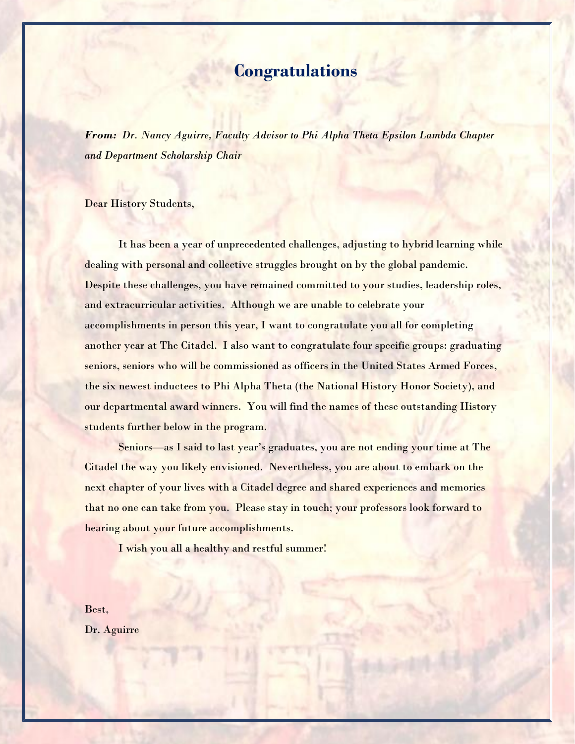### **Congratulations**

*From: Dr. Nancy Aguirre, Faculty Advisor to Phi Alpha Theta Epsilon Lambda Chapter and Department Scholarship Chair*

#### Dear History Students,

It has been a year of unprecedented challenges, adjusting to hybrid learning while dealing with personal and collective struggles brought on by the global pandemic. Despite these challenges, you have remained committed to your studies, leadership roles, and extracurricular activities. Although we are unable to celebrate your accomplishments in person this year, I want to congratulate you all for completing another year at The Citadel. I also want to congratulate four specific groups: graduating seniors, seniors who will be commissioned as officers in the United States Armed Forces, the six newest inductees to Phi Alpha Theta (the National History Honor Society), and our departmental award winners. You will find the names of these outstanding History students further below in the program.

Seniors—as I said to last year's graduates, you are not ending your time at The Citadel the way you likely envisioned. Nevertheless, you are about to embark on the next chapter of your lives with a Citadel degree and shared experiences and memories that no one can take from you. Please stay in touch; your professors look forward to hearing about your future accomplishments.

I wish you all a healthy and restful summer!

Best, Dr. Aguirre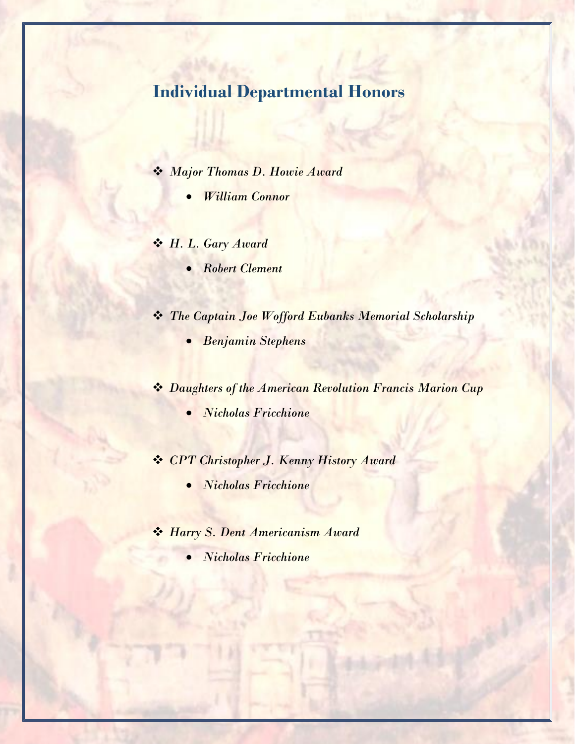# **Individual Departmental Honors**

- ❖ *Major Thomas D. Howie Award* 
	- *William Connor*
- ❖ *H. L. Gary Award*
	- *Robert Clement*
- ❖ *The Captain Joe Wofford Eubanks Memorial Scholarship*
	- *Benjamin Stephens*
- ❖ *Daughters of the American Revolution Francis Marion Cup*
	- *Nicholas Fricchione*
- ❖ *CPT Christopher J. Kenny History Award*
	- *Nicholas Fricchione*
- ❖ *Harry S. Dent Americanism Award* 
	- *Nicholas Fricchione*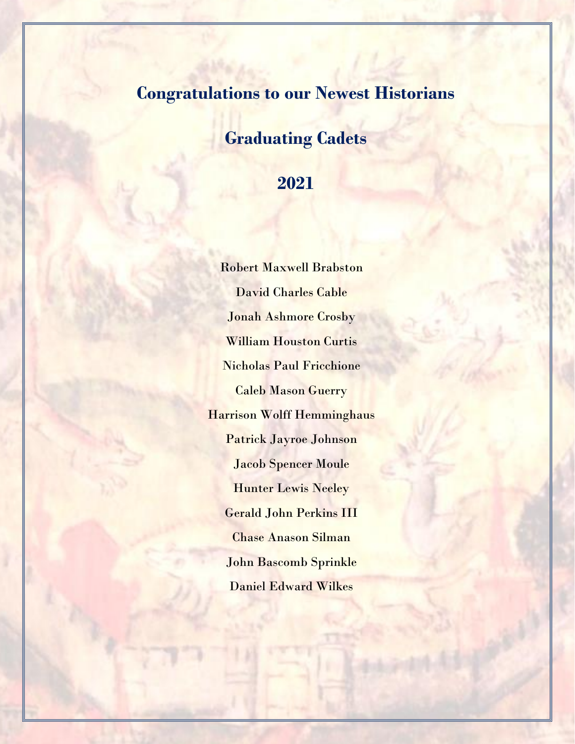## **Congratulations to our Newest Historians**

## **Graduating Cadets**

### **2021**

Robert Maxwell Brabston David Charles Cable Jonah Ashmore Crosby William Houston Curtis Nicholas Paul Fricchione Caleb Mason Guerry Harrison Wolff Hemminghaus Patrick Jayroe Johnson Jacob Spencer Moule Hunter Lewis Neeley Gerald John Perkins III Chase Anason Silman John Bascomb Sprinkle Daniel Edward Wilkes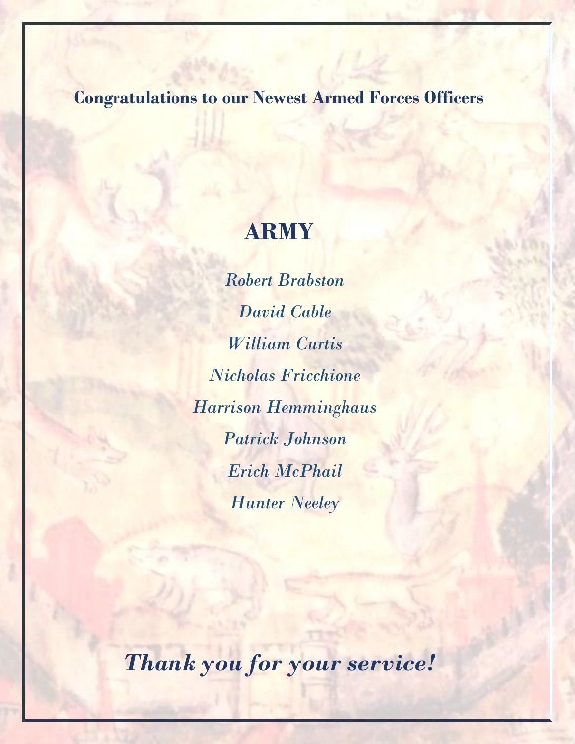## **Congratulations to our Newest Armed Forces Officers**

# **ARMY**

*Robert Brabston David Cable William Curtis Nicholas Fricchione Harrison Hemminghaus Patrick Johnson Erich McPhail Hunter Neeley*

*Thank you for your service!*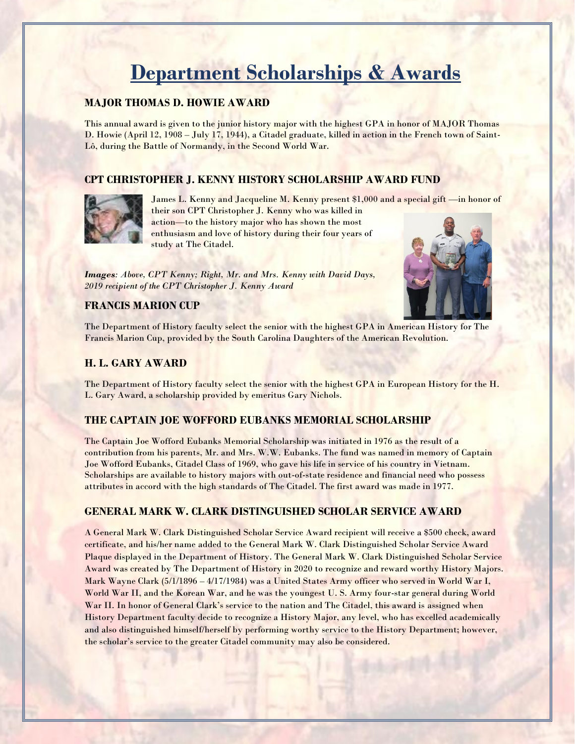# **Department Scholarships & Awards**

#### **MAJOR THOMAS D. HOWIE AWARD**

This annual award is given to the junior history major with the highest GPA in honor of MAJOR Thomas D. Howie (April 12, 1908 – July 17, 1944), a Citadel graduate, killed in action in the French town of Saint-Lô, during the Battle of Normandy, in the Second World War.

#### **CPT CHRISTOPHER J. KENNY HISTORY SCHOLARSHIP AWARD FUND**



James L. Kenny and Jacqueline M. Kenny present \$1,000 and a special gift —in honor of their son CPT Christopher J. Kenny who was killed in

action—to the history major who has shown the most enthusiasm and love of history during their four years of study at The Citadel.

*Images: Above, CPT Kenny; Right, Mr. and Mrs. Kenny with David Days, 2019 recipient of the CPT Christopher J. Kenny Award*

#### **FRANCIS MARION CUP**



The Department of History faculty select the senior with the highest GPA in American History for The Francis Marion Cup, provided by the South Carolina Daughters of the American Revolution.

#### **H. L. GARY AWARD**

The Department of History faculty select the senior with the highest GPA in European History for the H. L. Gary Award, a scholarship provided by emeritus Gary Nichols.

#### **THE CAPTAIN JOE WOFFORD EUBANKS MEMORIAL SCHOLARSHIP**

The Captain Joe Wofford Eubanks Memorial Scholarship was initiated in 1976 as the result of a contribution from his parents, Mr. and Mrs. W.W. Eubanks. The fund was named in memory of Captain Joe Wofford Eubanks, Citadel Class of 1969, who gave his life in service of his country in Vietnam. Scholarships are available to history majors with out-of-state residence and financial need who possess attributes in accord with the high standards of The Citadel. The first award was made in 1977.

#### **GENERAL MARK W. CLARK DISTINGUISHED SCHOLAR SERVICE AWARD**

A General Mark W. Clark Distinguished Scholar Service Award recipient will receive a \$500 check, award certificate, and his/her name added to the General Mark W. Clark Distinguished Scholar Service Award Plaque displayed in the Department of History. The General Mark W. Clark Distinguished Scholar Service Award was created by The Department of History in 2020 to recognize and reward worthy History Majors. Mark Wayne Clark (5/1/1896 – 4/17/1984) was a United States Army officer who served in World War I, World War II, and the Korean War, and he was the youngest U. S. Army four-star general during World War II. In honor of General Clark's service to the nation and The Citadel, this award is assigned when History Department faculty decide to recognize a History Major, any level, who has excelled academically and also distinguished himself/herself by performing worthy service to the History Department; however, the scholar's service to the greater Citadel community may also be considered.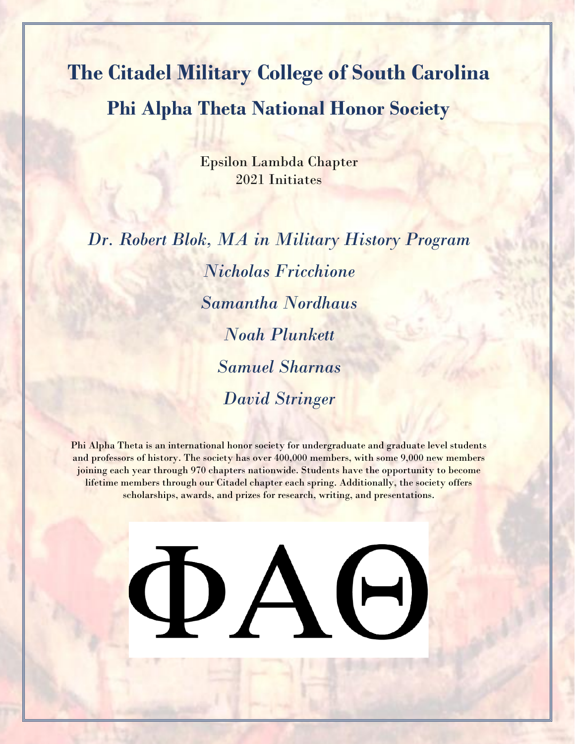**The Citadel Military College of South Carolina Phi Alpha Theta National Honor Society**

> Epsilon Lambda Chapter 2021 Initiates

*Dr. Robert Blok, MA in Military History Program Nicholas Fricchione Samantha Nordhaus Noah Plunkett Samuel Sharnas David Stringer*

Phi Alpha Theta is an international honor society for undergraduate and graduate level students and professors of history. The society has over 400,000 members, with some 9,000 new members joining each year through 970 chapters nationwide. Students have the opportunity to become lifetime members through our Citadel chapter each spring. Additionally, the society offers scholarships, awards, and prizes for research, writing, and presentations.

**DAG**